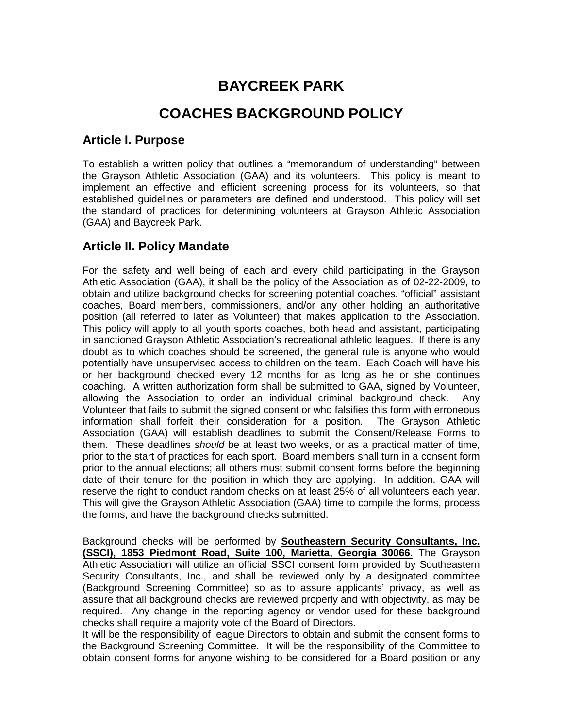# **BAYCREEK PARK**

# **COACHES BACKGROUND POLICY**

#### **Article I. Purpose**

To establish a written policy that outlines a "memorandum of understanding" between the Grayson Athletic Association (GAA) and its volunteers. This policy is meant to implement an effective and efficient screening process for its volunteers, so that established guidelines or parameters are defined and understood. This policy will set the standard of practices for determining volunteers at Grayson Athletic Association (GAA) and Baycreek Park.

# **Article II. Policy Mandate**

For the safety and well being of each and every child participating in the Grayson Athletic Association (GAA), it shall be the policy of the Association as of 02-22-2009, to obtain and utilize background checks for screening potential coaches, "official" assistant coaches, Board members, commissioners, and/or any other holding an authoritative position (all referred to later as Volunteer) that makes application to the Association. This policy will apply to all youth sports coaches, both head and assistant, participating in sanctioned Grayson Athletic Association's recreational athletic leagues. If there is any doubt as to which coaches should be screened, the general rule is anyone who would potentially have unsupervised access to children on the team. Each Coach will have his or her background checked every 12 months for as long as he or she continues coaching. A written authorization form shall be submitted to GAA, signed by Volunteer, allowing the Association to order an individual criminal background check. Any Volunteer that fails to submit the signed consent or who falsifies this form with erroneous information shall forfeit their consideration for a position. The Grayson Athletic Association (GAA) will establish deadlines to submit the Consent/Release Forms to them. These deadlines *should* be at least two weeks, or as a practical matter of time, prior to the start of practices for each sport. Board members shall turn in a consent form prior to the annual elections; all others must submit consent forms before the beginning date of their tenure for the position in which they are applying. In addition, GAA will reserve the right to conduct random checks on at least 25% of all volunteers each year. This will give the Grayson Athletic Association (GAA) time to compile the forms, process the forms, and have the background checks submitted.

Background checks will be performed by **Southeastern Security Consultants, Inc. (SSCI), 1853 Piedmont Road, Suite 100, Marietta, Georgia 30066.** The Grayson Athletic Association will utilize an official SSCI consent form provided by Southeastern Security Consultants, Inc., and shall be reviewed only by a designated committee (Background Screening Committee) so as to assure applicants' privacy, as well as assure that all background checks are reviewed properly and with objectivity, as may be required. Any change in the reporting agency or vendor used for these background checks shall require a majority vote of the Board of Directors.

It will be the responsibility of league Directors to obtain and submit the consent forms to the Background Screening Committee. It will be the responsibility of the Committee to obtain consent forms for anyone wishing to be considered for a Board position or any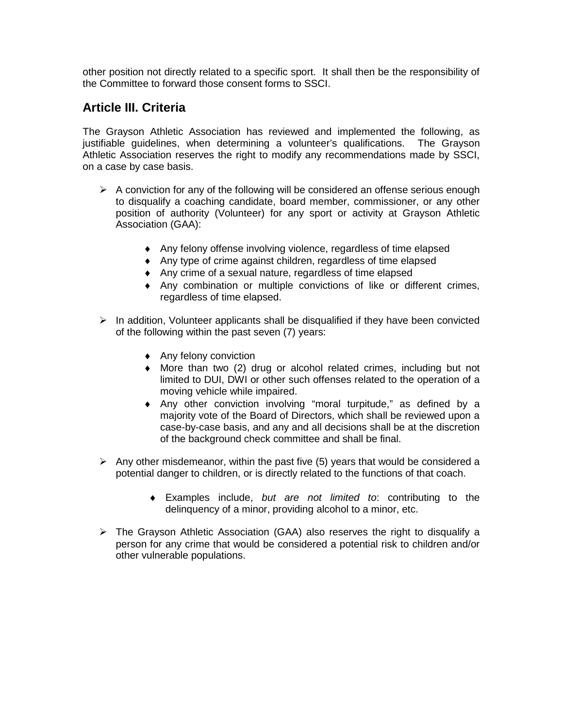other position not directly related to a specific sport. It shall then be the responsibility of the Committee to forward those consent forms to SSCI.

#### **Article III. Criteria**

The Grayson Athletic Association has reviewed and implemented the following, as justifiable guidelines, when determining a volunteer's qualifications. The Grayson Athletic Association reserves the right to modify any recommendations made by SSCI, on a case by case basis.

- $\triangleright$  A conviction for any of the following will be considered an offense serious enough to disqualify a coaching candidate, board member, commissioner, or any other position of authority (Volunteer) for any sport or activity at Grayson Athletic Association (GAA):
	- ♦ Any felony offense involving violence, regardless of time elapsed
	- ♦ Any type of crime against children, regardless of time elapsed
	- ♦ Any crime of a sexual nature, regardless of time elapsed
	- ♦ Any combination or multiple convictions of like or different crimes, regardless of time elapsed.
- $\triangleright$  In addition, Volunteer applicants shall be disqualified if they have been convicted of the following within the past seven (7) years:
	- ♦ Any felony conviction
	- ♦ More than two (2) drug or alcohol related crimes, including but not limited to DUI, DWI or other such offenses related to the operation of a moving vehicle while impaired.
	- ♦ Any other conviction involving "moral turpitude," as defined by a majority vote of the Board of Directors, which shall be reviewed upon a case-by-case basis, and any and all decisions shall be at the discretion of the background check committee and shall be final.
- $\triangleright$  Any other misdemeanor, within the past five (5) years that would be considered a potential danger to children, or is directly related to the functions of that coach.
	- ♦ Examples include, *but are not limited to*: contributing to the delinquency of a minor, providing alcohol to a minor, etc.
- $\triangleright$  The Grayson Athletic Association (GAA) also reserves the right to disqualify a person for any crime that would be considered a potential risk to children and/or other vulnerable populations.